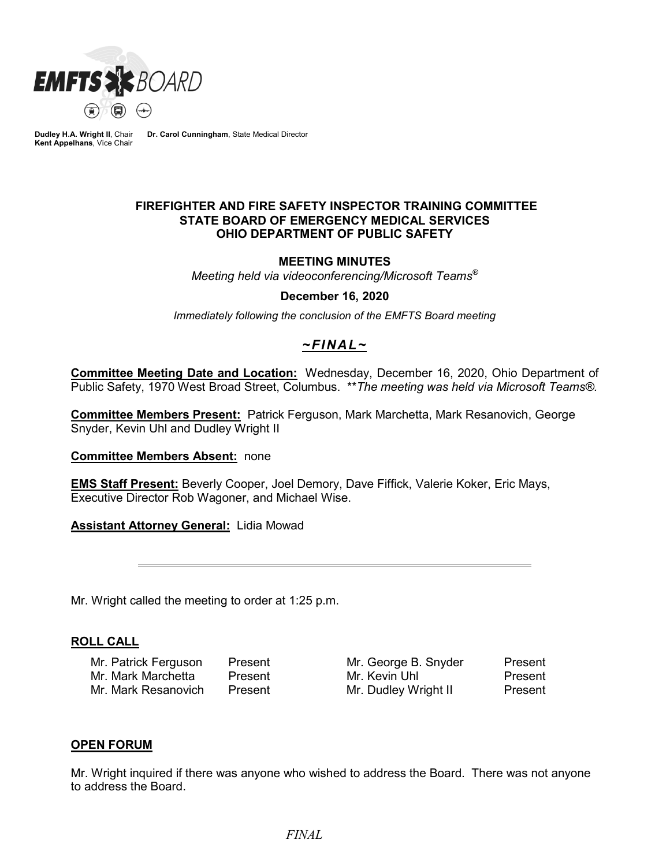

**Dudley H.A. Wright II**, Chair **Kent Appelhans**, Vice Chair **Dr. Carol Cunningham**, State Medical Director

### **FIREFIGHTER AND FIRE SAFETY INSPECTOR TRAINING COMMITTEE STATE BOARD OF EMERGENCY MEDICAL SERVICES OHIO DEPARTMENT OF PUBLIC SAFETY**

### **MEETING MINUTES**

*Meeting held via videoconferencing/Microsoft Teams®*

#### **December 16, 2020**

*Immediately following the conclusion of the EMFTS Board meeting*

# *~FINAL~*

**Committee Meeting Date and Location:** Wednesday, December 16, 2020, Ohio Department of Public Safety, 1970 West Broad Street, Columbus. \*\**The meeting was held via Microsoft Teams®.*

**Committee Members Present:** Patrick Ferguson, Mark Marchetta, Mark Resanovich, George Snyder, Kevin Uhl and Dudley Wright II

#### **Committee Members Absent:** none

**EMS Staff Present:** Beverly Cooper, Joel Demory, Dave Fiffick, Valerie Koker, Eric Mays, Executive Director Rob Wagoner, and Michael Wise.

**Assistant Attorney General:** Lidia Mowad

Mr. Wright called the meeting to order at 1:25 p.m.

#### **ROLL CALL**

Mr. Patrick Ferguson Present Mr. George B. Snyder Present Mr. Mark Marchetta Present Mr. Kevin Uhl Present Mr. Mark Resanovich Present Mr. Dudley Wright II Present

#### **OPEN FORUM**

Mr. Wright inquired if there was anyone who wished to address the Board. There was not anyone to address the Board.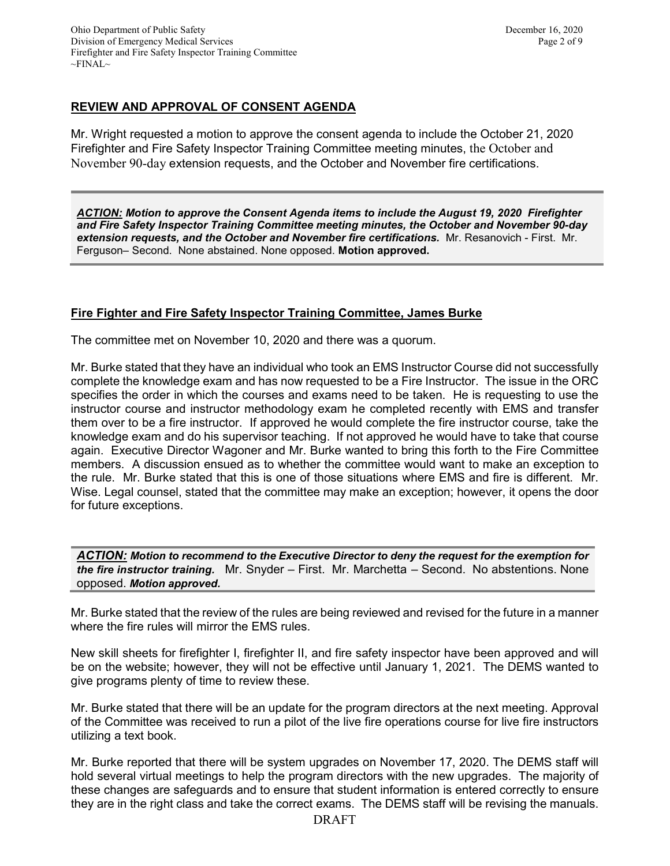# **REVIEW AND APPROVAL OF CONSENT AGENDA**

Mr. Wright requested a motion to approve the consent agenda to include the October 21, 2020 Firefighter and Fire Safety Inspector Training Committee meeting minutes, the October and November 90-day extension requests, and the October and November fire certifications.

*ACTION: Motion to approve the Consent Agenda items to include the August 19, 2020 Firefighter and Fire Safety Inspector Training Committee meeting minutes, the October and November 90-day extension requests, and the October and November fire certifications.* Mr. Resanovich - First. Mr. Ferguson– Second. None abstained. None opposed. **Motion approved.**

### **Fire Fighter and Fire Safety Inspector Training Committee, James Burke**

The committee met on November 10, 2020 and there was a quorum.

Mr. Burke stated that they have an individual who took an EMS Instructor Course did not successfully complete the knowledge exam and has now requested to be a Fire Instructor. The issue in the ORC specifies the order in which the courses and exams need to be taken. He is requesting to use the instructor course and instructor methodology exam he completed recently with EMS and transfer them over to be a fire instructor. If approved he would complete the fire instructor course, take the knowledge exam and do his supervisor teaching. If not approved he would have to take that course again. Executive Director Wagoner and Mr. Burke wanted to bring this forth to the Fire Committee members. A discussion ensued as to whether the committee would want to make an exception to the rule. Mr. Burke stated that this is one of those situations where EMS and fire is different. Mr. Wise. Legal counsel, stated that the committee may make an exception; however, it opens the door for future exceptions.

*ACTION: Motion to recommend to the Executive Director to deny the request for the exemption for the fire instructor training.* Mr. Snyder – First. Mr. Marchetta – Second. No abstentions. None opposed. *Motion approved.* 

Mr. Burke stated that the review of the rules are being reviewed and revised for the future in a manner where the fire rules will mirror the EMS rules.

New skill sheets for firefighter I, firefighter II, and fire safety inspector have been approved and will be on the website; however, they will not be effective until January 1, 2021. The DEMS wanted to give programs plenty of time to review these.

Mr. Burke stated that there will be an update for the program directors at the next meeting. Approval of the Committee was received to run a pilot of the live fire operations course for live fire instructors utilizing a text book.

Mr. Burke reported that there will be system upgrades on November 17, 2020. The DEMS staff will hold several virtual meetings to help the program directors with the new upgrades. The majority of these changes are safeguards and to ensure that student information is entered correctly to ensure they are in the right class and take the correct exams. The DEMS staff will be revising the manuals.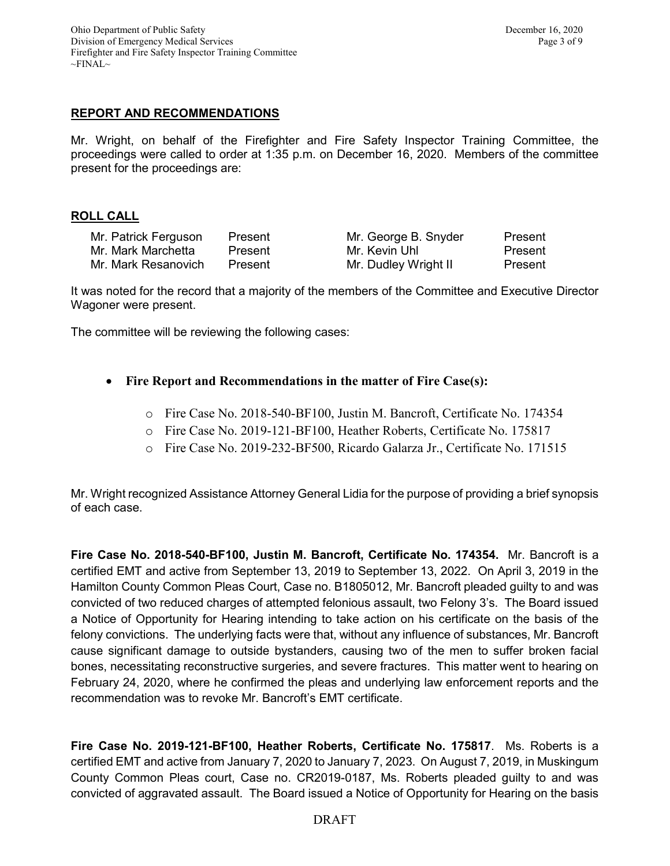# **REPORT AND RECOMMENDATIONS**

Mr. Wright, on behalf of the Firefighter and Fire Safety Inspector Training Committee, the proceedings were called to order at 1:35 p.m. on December 16, 2020. Members of the committee present for the proceedings are:

### **ROLL CALL**

| Mr. Patrick Ferguson | Present |
|----------------------|---------|
| Mr. Mark Marchetta   | Present |
| Mr. Mark Resanovich  | Present |

Mr. George B. Snyder Present Mr. Kevin Uhl Present Mr. Dudley Wright II Present

It was noted for the record that a majority of the members of the Committee and Executive Director Wagoner were present.

The committee will be reviewing the following cases:

- **Fire Report and Recommendations in the matter of Fire Case(s):**
	- o Fire Case No. 2018-540-BF100, Justin M. Bancroft, Certificate No. 174354
	- o Fire Case No. 2019-121-BF100, Heather Roberts, Certificate No. 175817
	- o Fire Case No. 2019-232-BF500, Ricardo Galarza Jr., Certificate No. 171515

Mr. Wright recognized Assistance Attorney General Lidia for the purpose of providing a brief synopsis of each case.

**Fire Case No. 2018-540-BF100, Justin M. Bancroft, Certificate No. 174354.** Mr. Bancroft is a certified EMT and active from September 13, 2019 to September 13, 2022. On April 3, 2019 in the Hamilton County Common Pleas Court, Case no. B1805012, Mr. Bancroft pleaded guilty to and was convicted of two reduced charges of attempted felonious assault, two Felony 3's. The Board issued a Notice of Opportunity for Hearing intending to take action on his certificate on the basis of the felony convictions. The underlying facts were that, without any influence of substances, Mr. Bancroft cause significant damage to outside bystanders, causing two of the men to suffer broken facial bones, necessitating reconstructive surgeries, and severe fractures. This matter went to hearing on February 24, 2020, where he confirmed the pleas and underlying law enforcement reports and the recommendation was to revoke Mr. Bancroft's EMT certificate.

**Fire Case No. 2019-121-BF100, Heather Roberts, Certificate No. 175817**. Ms. Roberts is a certified EMT and active from January 7, 2020 to January 7, 2023. On August 7, 2019, in Muskingum County Common Pleas court, Case no. CR2019-0187, Ms. Roberts pleaded guilty to and was convicted of aggravated assault. The Board issued a Notice of Opportunity for Hearing on the basis

### DRAFT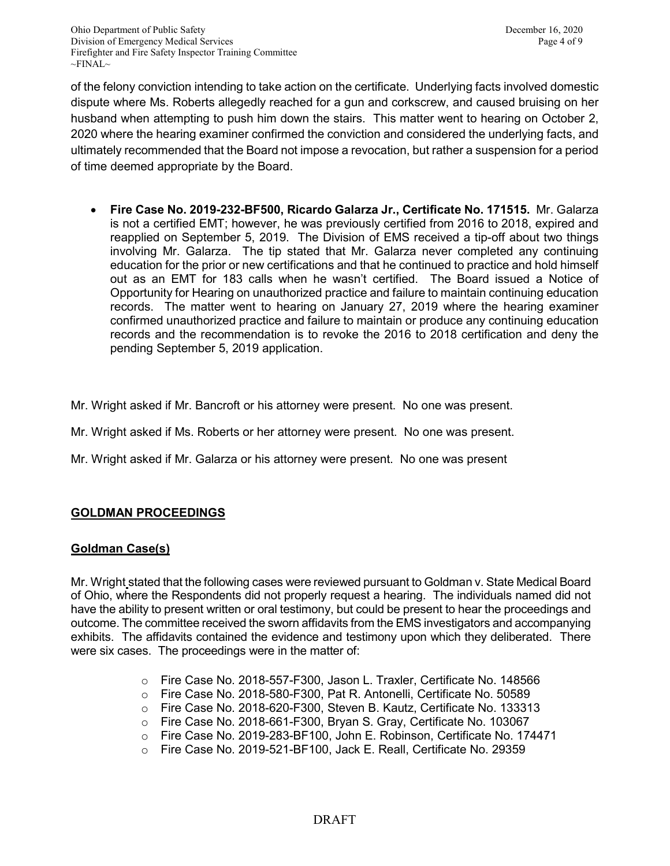of the felony conviction intending to take action on the certificate. Underlying facts involved domestic dispute where Ms. Roberts allegedly reached for a gun and corkscrew, and caused bruising on her husband when attempting to push him down the stairs. This matter went to hearing on October 2, 2020 where the hearing examiner confirmed the conviction and considered the underlying facts, and ultimately recommended that the Board not impose a revocation, but rather a suspension for a period of time deemed appropriate by the Board.

- **Fire Case No. 2019-232-BF500, Ricardo Galarza Jr., Certificate No. 171515.** Mr. Galarza is not a certified EMT; however, he was previously certified from 2016 to 2018, expired and reapplied on September 5, 2019. The Division of EMS received a tip-off about two things involving Mr. Galarza. The tip stated that Mr. Galarza never completed any continuing education for the prior or new certifications and that he continued to practice and hold himself out as an EMT for 183 calls when he wasn't certified. The Board issued a Notice of Opportunity for Hearing on unauthorized practice and failure to maintain continuing education records. The matter went to hearing on January 27, 2019 where the hearing examiner confirmed unauthorized practice and failure to maintain or produce any continuing education records and the recommendation is to revoke the 2016 to 2018 certification and deny the pending September 5, 2019 application.
- Mr. Wright asked if Mr. Bancroft or his attorney were present. No one was present.
- Mr. Wright asked if Ms. Roberts or her attorney were present. No one was present.
- Mr. Wright asked if Mr. Galarza or his attorney were present. No one was present

### **GOLDMAN PROCEEDINGS**

#### **Goldman Case(s)**

Mr. Wright stated that the following cases were reviewed pursuant to Goldman v. State Medical Board of Ohio, where the Respondents did not properly request a hearing. The individuals named did not have the ability to present written or oral testimony, but could be present to hear the proceedings and outcome. The committee received the sworn affidavits from the EMS investigators and accompanying exhibits. The affidavits contained the evidence and testimony upon which they deliberated. There were six cases. The proceedings were in the matter of:

- o Fire Case No. 2018-557-F300, Jason L. Traxler, Certificate No. 148566
- o Fire Case No. 2018-580-F300, Pat R. Antonelli, Certificate No. 50589
- o Fire Case No. 2018-620-F300, Steven B. Kautz, Certificate No. 133313<br>○ Fire Case No. 2018-661-F300. Brvan S. Grav. Certificate No. 103067
- Fire Case No. 2018-661-F300, Bryan S. Gray, Certificate No. 103067
- o Fire Case No. 2019-283-BF100, John E. Robinson, Certificate No. 174471<br>○ Fire Case No. 2019-521-BF100. Jack E. Reall. Certificate No. 29359
- Fire Case No. 2019-521-BF100, Jack E. Reall, Certificate No. 29359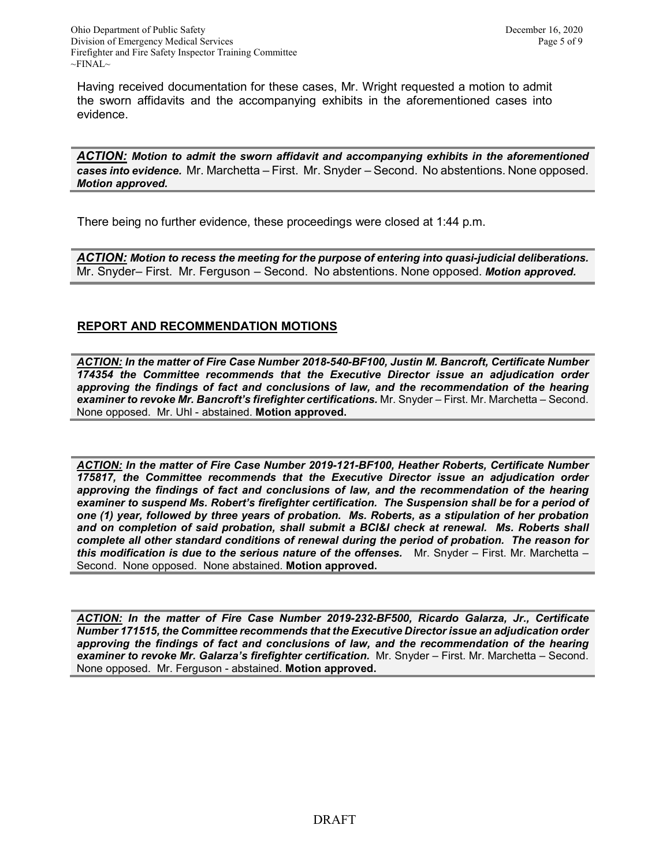Having received documentation for these cases, Mr. Wright requested a motion to admit the sworn affidavits and the accompanying exhibits in the aforementioned cases into evidence.

*ACTION: Motion to admit the sworn affidavit and accompanying exhibits in the aforementioned cases into evidence.* Mr. Marchetta – First. Mr. Snyder – Second. No abstentions. None opposed. *Motion approved.* 

There being no further evidence, these proceedings were closed at 1:44 p.m.

*ACTION: Motion to recess the meeting for the purpose of entering into quasi-judicial deliberations.* Mr. Snyder– First. Mr. Ferguson – Second. No abstentions. None opposed. *Motion approved.* 

# **REPORT AND RECOMMENDATION MOTIONS**

*ACTION: In the matter of Fire Case Number 2018-540-BF100, Justin M. Bancroft, Certificate Number 174354 the Committee recommends that the Executive Director issue an adjudication order approving the findings of fact and conclusions of law, and the recommendation of the hearing examiner to revoke Mr. Bancroft's firefighter certifications.* Mr. Snyder – First. Mr. Marchetta – Second. None opposed. Mr. Uhl - abstained. **Motion approved.** 

*ACTION: In the matter of Fire Case Number 2019-121-BF100, Heather Roberts, Certificate Number 175817, the Committee recommends that the Executive Director issue an adjudication order approving the findings of fact and conclusions of law, and the recommendation of the hearing examiner to suspend Ms. Robert's firefighter certification. The Suspension shall be for a period of one (1) year, followed by three years of probation. Ms. Roberts, as a stipulation of her probation and on completion of said probation, shall submit a BCI&I check at renewal. Ms. Roberts shall complete all other standard conditions of renewal during the period of probation. The reason for this modification is due to the serious nature of the offenses.* Mr. Snyder – First. Mr. Marchetta – Second. None opposed. None abstained. **Motion approved.** 

*ACTION: In the matter of Fire Case Number 2019-232-BF500, Ricardo Galarza, Jr., Certificate Number 171515, the Committee recommends that the Executive Director issue an adjudication order approving the findings of fact and conclusions of law, and the recommendation of the hearing examiner to revoke Mr. Galarza's firefighter certification.* Mr. Snyder – First. Mr. Marchetta – Second. None opposed. Mr. Ferguson - abstained. **Motion approved.**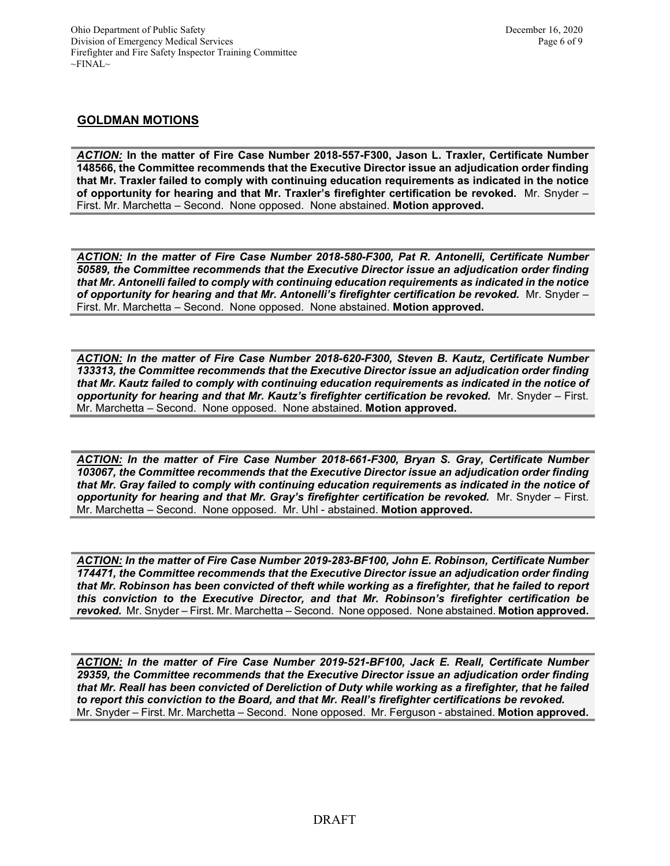#### **GOLDMAN MOTIONS**

*ACTION:* **In the matter of Fire Case Number 2018-557-F300, Jason L. Traxler, Certificate Number 148566, the Committee recommends that the Executive Director issue an adjudication order finding that Mr. Traxler failed to comply with continuing education requirements as indicated in the notice of opportunity for hearing and that Mr. Traxler's firefighter certification be revoked.**Mr. Snyder – First. Mr. Marchetta – Second. None opposed. None abstained. **Motion approved.** 

*ACTION: In the matter of Fire Case Number 2018-580-F300, Pat R. Antonelli, Certificate Number 50589, the Committee recommends that the Executive Director issue an adjudication order finding that Mr. Antonelli failed to comply with continuing education requirements as indicated in the notice of opportunity for hearing and that Mr. Antonelli's firefighter certification be revoked.* Mr. Snyder – First. Mr. Marchetta – Second. None opposed. None abstained. **Motion approved.** 

*ACTION: In the matter of Fire Case Number 2018-620-F300, Steven B. Kautz, Certificate Number 133313, the Committee recommends that the Executive Director issue an adjudication order finding that Mr. Kautz failed to comply with continuing education requirements as indicated in the notice of opportunity for hearing and that Mr. Kautz's firefighter certification be revoked.* Mr. Snyder – First. Mr. Marchetta – Second. None opposed. None abstained. **Motion approved.** 

*ACTION: In the matter of Fire Case Number 2018-661-F300, Bryan S. Gray, Certificate Number 103067, the Committee recommends that the Executive Director issue an adjudication order finding that Mr. Gray failed to comply with continuing education requirements as indicated in the notice of opportunity for hearing and that Mr. Gray's firefighter certification be revoked.* Mr. Snyder – First. Mr. Marchetta – Second. None opposed. Mr. Uhl - abstained. **Motion approved.** 

*ACTION: In the matter of Fire Case Number 2019-283-BF100, John E. Robinson, Certificate Number 174471, the Committee recommends that the Executive Director issue an adjudication order finding that Mr. Robinson has been convicted of theft while working as a firefighter, that he failed to report this conviction to the Executive Director, and that Mr. Robinson's firefighter certification be revoked.* Mr. Snyder – First. Mr. Marchetta – Second. None opposed. None abstained. **Motion approved.** 

*ACTION: In the matter of Fire Case Number 2019-521-BF100, Jack E. Reall, Certificate Number 29359, the Committee recommends that the Executive Director issue an adjudication order finding that Mr. Reall has been convicted of Dereliction of Duty while working as a firefighter, that he failed to report this conviction to the Board, and that Mr. Reall's firefighter certifications be revoked.*  Mr. Snyder – First. Mr. Marchetta – Second. None opposed. Mr. Ferguson - abstained. **Motion approved.**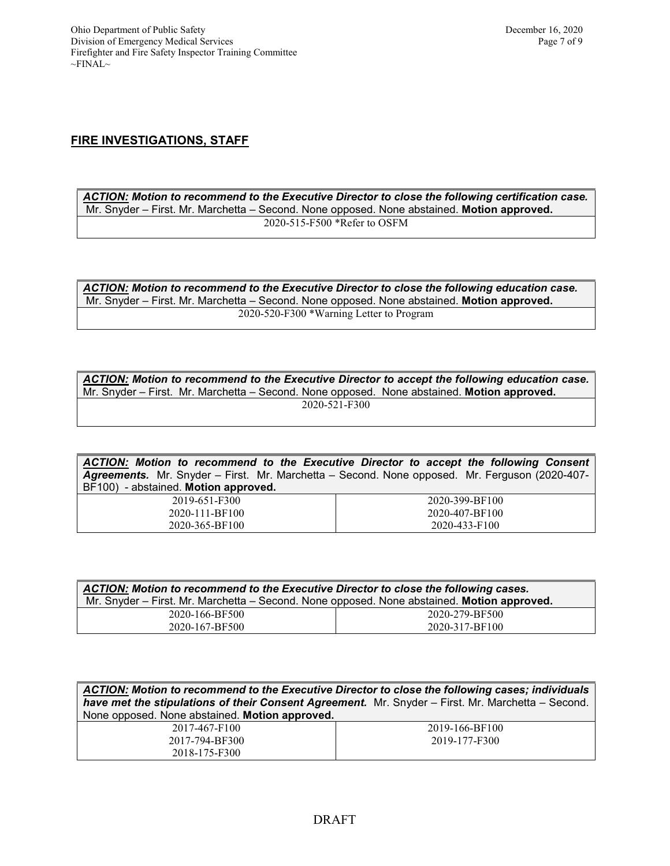# **FIRE INVESTIGATIONS, STAFF**

*ACTION: Motion to recommend to the Executive Director to close the following certification case.* Mr. Snyder – First. Mr. Marchetta – Second. None opposed. None abstained. **Motion approved.** 2020-515-F500 \*Refer to OSFM

*ACTION: Motion to recommend to the Executive Director to close the following education case.* Mr. Snyder – First. Mr. Marchetta – Second. None opposed. None abstained. **Motion approved.** 2020-520-F300 \*Warning Letter to Program

*ACTION: Motion to recommend to the Executive Director to accept the following education case.* Mr. Snyder – First. Mr. Marchetta – Second. None opposed. None abstained. **Motion approved.** 2020-521-F300

| ACTION: Motion to recommend to the Executive Director to accept the following Consent         |                |  |
|-----------------------------------------------------------------------------------------------|----------------|--|
| Agreements. Mr. Snyder – First. Mr. Marchetta – Second. None opposed. Mr. Ferguson (2020-407- |                |  |
| BF100) - abstained. Motion approved.                                                          |                |  |
| 2019-651-F300                                                                                 | 2020-399-BF100 |  |
| 2020-111-BF100                                                                                | 2020-407-BF100 |  |
| 2020-365-BF100                                                                                | 2020-433-F100  |  |

| ACTION: Motion to recommend to the Executive Director to close the following cases.        |                |  |
|--------------------------------------------------------------------------------------------|----------------|--|
| Mr. Snyder - First. Mr. Marchetta - Second. None opposed. None abstained. Motion approved. |                |  |
| 2020-166-BF500                                                                             | 2020-279-BF500 |  |
| 2020-167-BF500                                                                             | 2020-317-BF100 |  |

| ACTION: Motion to recommend to the Executive Director to close the following cases; individuals<br>have met the stipulations of their Consent Agreement. Mr. Snyder - First. Mr. Marchetta - Second.<br>None opposed. None abstained. Motion approved. |                |  |
|--------------------------------------------------------------------------------------------------------------------------------------------------------------------------------------------------------------------------------------------------------|----------------|--|
| 2017-467-F100                                                                                                                                                                                                                                          | 2019-166-BF100 |  |
| 2017-794-BF300                                                                                                                                                                                                                                         | 2019-177-F300  |  |
| 2018-175-F300                                                                                                                                                                                                                                          |                |  |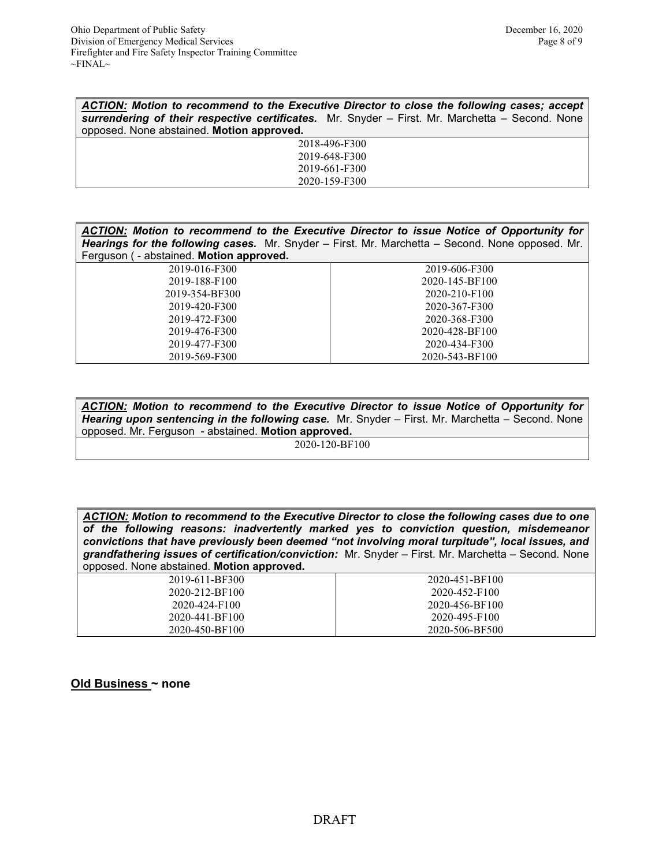| ACTION: Motion to recommend to the Executive Director to close the following cases; accept      |  |  |
|-------------------------------------------------------------------------------------------------|--|--|
| surrendering of their respective certificates. Mr. Snyder - First. Mr. Marchetta - Second. None |  |  |
| opposed. None abstained. Motion approved.                                                       |  |  |
| 2018-496-F300                                                                                   |  |  |
| 2019-648-F300                                                                                   |  |  |
| 2019-661-F300                                                                                   |  |  |
| 2020-159-F300                                                                                   |  |  |

| ACTION: Motion to recommend to the Executive Director to issue Notice of Opportunity for        |                |  |
|-------------------------------------------------------------------------------------------------|----------------|--|
| Hearings for the following cases. Mr. Snyder - First. Mr. Marchetta - Second. None opposed. Mr. |                |  |
| Ferguson ( - abstained. Motion approved.                                                        |                |  |
| 2019-016-F300                                                                                   | 2019-606-F300  |  |
| 2019-188-F100                                                                                   | 2020-145-BF100 |  |
| 2019-354-BF300                                                                                  | 2020-210-F100  |  |
| 2019-420-F300                                                                                   | 2020-367-F300  |  |
| 2019-472-F300                                                                                   | 2020-368-F300  |  |
| 2019-476-F300                                                                                   | 2020-428-BF100 |  |
| 2019-477-F300                                                                                   | 2020-434-F300  |  |
| 2019-569-F300                                                                                   | 2020-543-BF100 |  |

*ACTION: Motion to recommend to the Executive Director to issue Notice of Opportunity for Hearing upon sentencing in the following case.* Mr. Snyder – First. Mr. Marchetta – Second. None opposed. Mr. Ferguson - abstained. **Motion approved.** 2020-120-BF100

*ACTION: Motion to recommend to the Executive Director to close the following cases due to one of the following reasons: inadvertently marked yes to conviction question, misdemeanor convictions that have previously been deemed "not involving moral turpitude", local issues, and grandfathering issues of certification/conviction:* Mr. Snyder – First. Mr. Marchetta – Second. None opposed. None abstained. **Motion approved.**

| 2019-611-BF300 | 2020-451-BF100 |
|----------------|----------------|
|                |                |
| 2020-212-BF100 | 2020-452-F100  |
| 2020-424-F100  | 2020-456-BF100 |
| 2020-441-BF100 | 2020-495-F100  |
| 2020-450-BF100 | 2020-506-BF500 |

**Old Business ~ none**